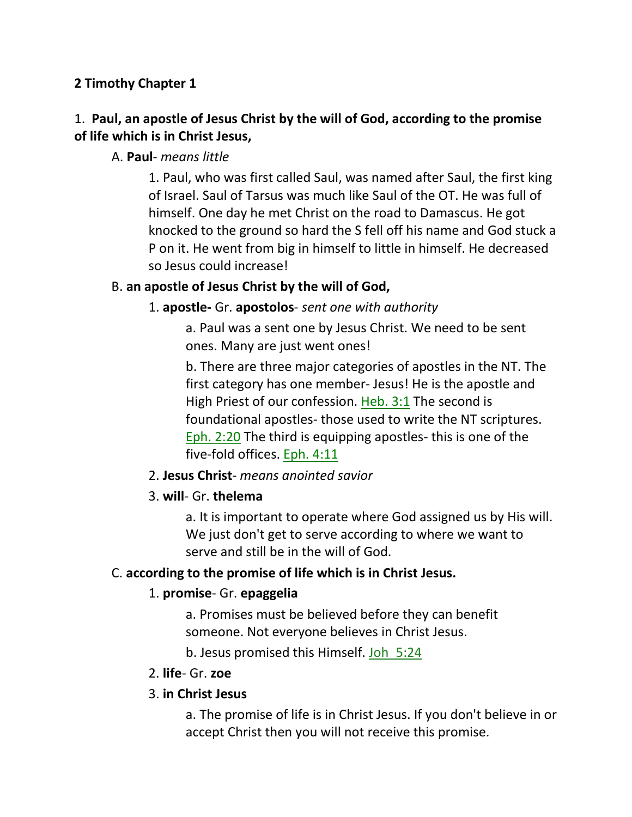### **2 Timothy Chapter 1**

## 1. **Paul, an apostle of Jesus Christ by the will of God, according to the promise of life which is in Christ Jesus,**

### A. **Paul**- *means little*

1. Paul, who was first called Saul, was named after Saul, the first king of Israel. Saul of Tarsus was much like Saul of the OT. He was full of himself. One day he met Christ on the road to Damascus. He got knocked to the ground so hard the S fell off his name and God stuck a P on it. He went from big in himself to little in himself. He decreased so Jesus could increase!

### B. **an apostle of Jesus Christ by the will of God,**

### 1. **apostle-** Gr. **apostolos**- *sent one with authority*

a. Paul was a sent one by Jesus Christ. We need to be sent ones. Many are just went ones!

b. There are three major categories of apostles in the NT. The first category has one member- Jesus! He is the apostle and High Priest of our confession. Heb. 3:1 The second is foundational apostles- those used to write the NT scriptures. Eph. 2:20 The third is equipping apostles- this is one of the five-fold offices. Eph. 4:11

### 2. **Jesus Christ**- *means anointed savior*

### 3. **will**- Gr. **thelema**

a. It is important to operate where God assigned us by His will. We just don't get to serve according to where we want to serve and still be in the will of God.

### C. **according to the promise of life which is in Christ Jesus.**

### 1. **promise**- Gr. **epaggelia**

a. Promises must be believed before they can benefit someone. Not everyone believes in Christ Jesus.

b. Jesus promised this Himself. Joh\_5:24

#### 2. **life**- Gr. **zoe**

### 3. **in Christ Jesus**

a. The promise of life is in Christ Jesus. If you don't believe in or accept Christ then you will not receive this promise.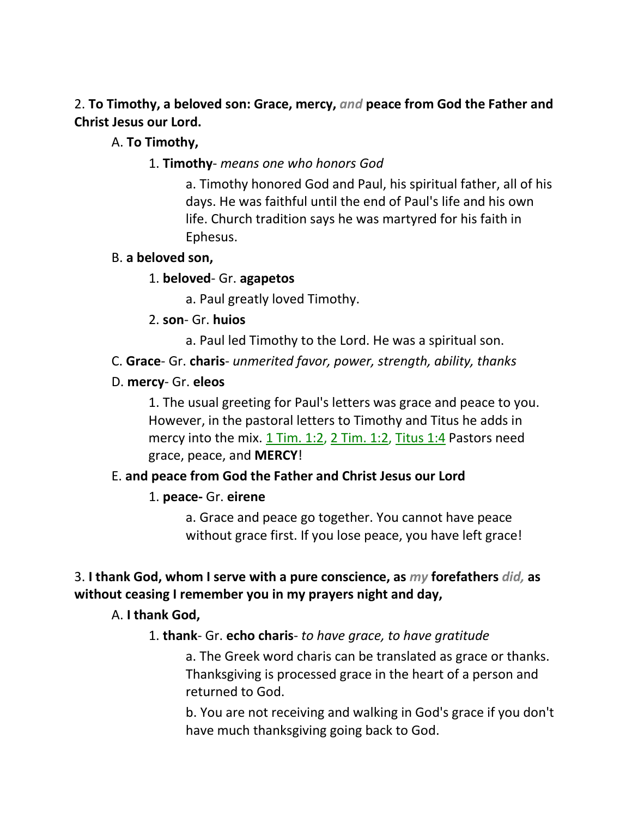2. **To Timothy, a beloved son: Grace, mercy,** *and* **peace from God the Father and Christ Jesus our Lord.** 

### A. **To Timothy,**

### 1. **Timothy**- *means one who honors God*

a. Timothy honored God and Paul, his spiritual father, all of his days. He was faithful until the end of Paul's life and his own life. Church tradition says he was martyred for his faith in Ephesus.

### B. **a beloved son,**

### 1. **beloved**- Gr. **agapetos**

a. Paul greatly loved Timothy.

### 2. **son**- Gr. **huios**

a. Paul led Timothy to the Lord. He was a spiritual son.

## C. **Grace**- Gr. **charis**- *unmerited favor, power, strength, ability, thanks*

### D. **mercy**- Gr. **eleos**

1. The usual greeting for Paul's letters was grace and peace to you. However, in the pastoral letters to Timothy and Titus he adds in mercy into the mix. 1 Tim. 1:2, 2 Tim. 1:2, Titus 1:4 Pastors need grace, peace, and **MERCY**!

## E. **and peace from God the Father and Christ Jesus our Lord**

## 1. **peace-** Gr. **eirene**

a. Grace and peace go together. You cannot have peace without grace first. If you lose peace, you have left grace!

## 3. **I thank God, whom I serve with a pure conscience, as** *my* **forefathers** *did,* **as without ceasing I remember you in my prayers night and day,**

## A. **I thank God,**

## 1. **thank**- Gr. **echo charis**- *to have grace, to have gratitude*

a. The Greek word charis can be translated as grace or thanks. Thanksgiving is processed grace in the heart of a person and returned to God.

b. You are not receiving and walking in God's grace if you don't have much thanksgiving going back to God.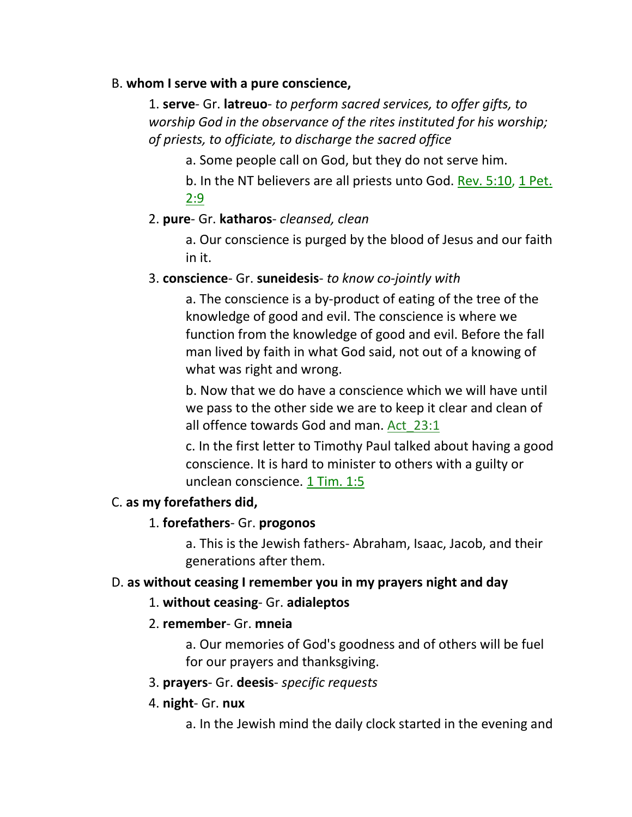#### B. **whom I serve with a pure conscience,**

1. **serve**- Gr. **latreuo**- *to perform sacred services, to offer gifts, to worship God in the observance of the rites instituted for his worship; of priests, to officiate, to discharge the sacred office*

a. Some people call on God, but they do not serve him.

b. In the NT believers are all priests unto God. Rev. 5:10, 1 Pet. 2:9

### 2. **pure**- Gr. **katharos**- *cleansed, clean*

a. Our conscience is purged by the blood of Jesus and our faith in it.

### 3. **conscience**- Gr. **suneidesis**- *to know co-jointly with*

a. The conscience is a by-product of eating of the tree of the knowledge of good and evil. The conscience is where we function from the knowledge of good and evil. Before the fall man lived by faith in what God said, not out of a knowing of what was right and wrong.

b. Now that we do have a conscience which we will have until we pass to the other side we are to keep it clear and clean of all offence towards God and man. Act 23:1

c. In the first letter to Timothy Paul talked about having a good conscience. It is hard to minister to others with a guilty or unclean conscience. 1 Tim. 1:5

### C. **as my forefathers did,**

## 1. **forefathers**- Gr. **progonos**

a. This is the Jewish fathers- Abraham, Isaac, Jacob, and their generations after them.

### D. **as without ceasing I remember you in my prayers night and day**

### 1. **without ceasing**- Gr. **adialeptos**

### 2. **remember**- Gr. **mneia**

a. Our memories of God's goodness and of others will be fuel for our prayers and thanksgiving.

### 3. **prayers**- Gr. **deesis**- *specific requests*

### 4. **night**- Gr. **nux**

a. In the Jewish mind the daily clock started in the evening and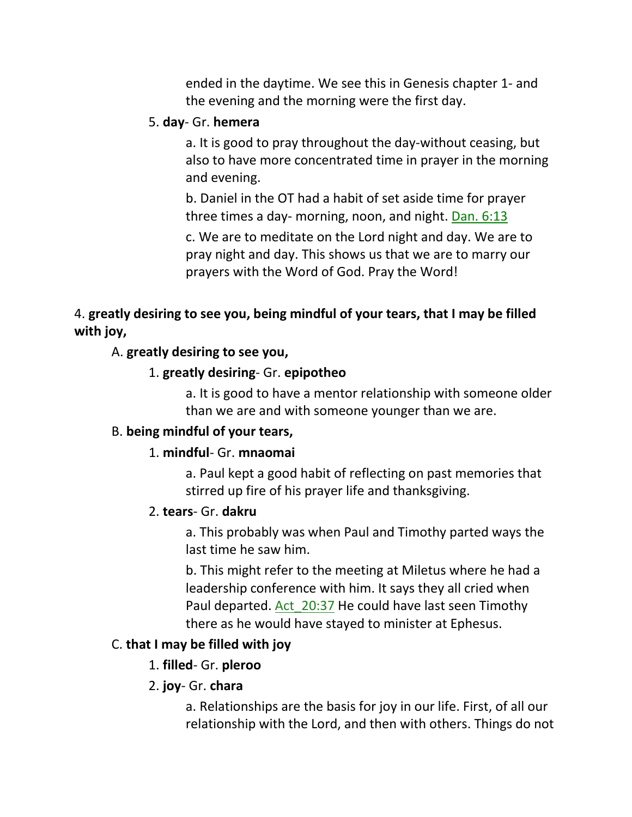ended in the daytime. We see this in Genesis chapter 1- and the evening and the morning were the first day.

#### 5. **day**- Gr. **hemera**

a. It is good to pray throughout the day-without ceasing, but also to have more concentrated time in prayer in the morning and evening.

b. Daniel in the OT had a habit of set aside time for prayer three times a day- morning, noon, and night. Dan. 6:13

c. We are to meditate on the Lord night and day. We are to pray night and day. This shows us that we are to marry our prayers with the Word of God. Pray the Word!

## 4. **greatly desiring to see you, being mindful of your tears, that I may be filled with joy,**

#### A. **greatly desiring to see you,**

#### 1. **greatly desiring**- Gr. **epipotheo**

a. It is good to have a mentor relationship with someone older than we are and with someone younger than we are.

#### B. **being mindful of your tears,**

#### 1. **mindful**- Gr. **mnaomai**

a. Paul kept a good habit of reflecting on past memories that stirred up fire of his prayer life and thanksgiving.

#### 2. **tears**- Gr. **dakru**

a. This probably was when Paul and Timothy parted ways the last time he saw him.

b. This might refer to the meeting at Miletus where he had a leadership conference with him. It says they all cried when Paul departed. Act\_20:37 He could have last seen Timothy there as he would have stayed to minister at Ephesus.

### C. **that I may be filled with joy**

#### 1. **filled**- Gr. **pleroo**

### 2. **joy**- Gr. **chara**

a. Relationships are the basis for joy in our life. First, of all our relationship with the Lord, and then with others. Things do not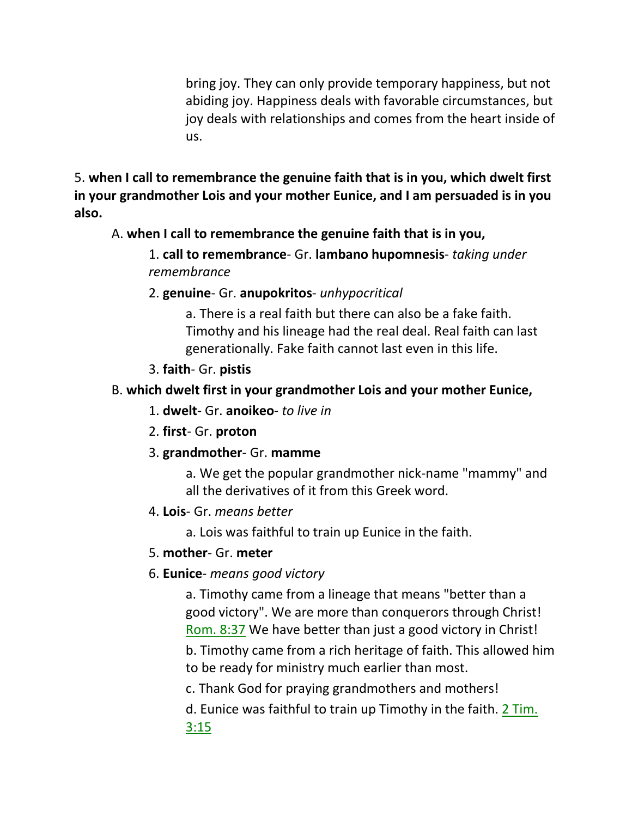bring joy. They can only provide temporary happiness, but not abiding joy. Happiness deals with favorable circumstances, but joy deals with relationships and comes from the heart inside of us.

5. **when I call to remembrance the genuine faith that is in you, which dwelt first in your grandmother Lois and your mother Eunice, and I am persuaded is in you also.** 

## A. **when I call to remembrance the genuine faith that is in you,**

1. **call to remembrance**- Gr. **lambano hupomnesis**- *taking under remembrance*

2. **genuine**- Gr. **anupokritos**- *unhypocritical*

a. There is a real faith but there can also be a fake faith. Timothy and his lineage had the real deal. Real faith can last generationally. Fake faith cannot last even in this life.

3. **faith**- Gr. **pistis**

### B. **which dwelt first in your grandmother Lois and your mother Eunice,**

- 1. **dwelt** Gr. **anoikeo** *to live in*
- 2. **first** Gr. **proton**
- 3. **grandmother** Gr. **mamme**

a. We get the popular grandmother nick-name "mammy" and all the derivatives of it from this Greek word.

4. **Lois**- Gr. *means better*

a. Lois was faithful to train up Eunice in the faith.

### 5. **mother**- Gr. **meter**

6. **Eunice**- *means good victory*

a. Timothy came from a lineage that means "better than a good victory". We are more than conquerors through Christ! Rom. 8:37 We have better than just a good victory in Christ!

b. Timothy came from a rich heritage of faith. This allowed him to be ready for ministry much earlier than most.

c. Thank God for praying grandmothers and mothers!

d. Eunice was faithful to train up Timothy in the faith. 2 Tim. 3:15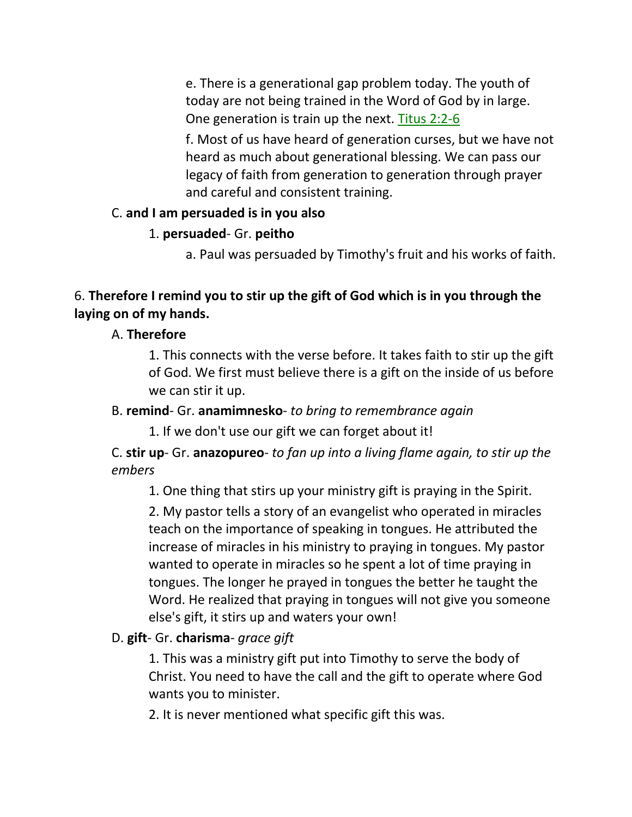e. There is a generational gap problem today. The youth of today are not being trained in the Word of God by in large. One generation is train up the next. Titus 2:2-6

f. Most of us have heard of generation curses, but we have not heard as much about generational blessing. We can pass our legacy of faith from generation to generation through prayer and careful and consistent training.

### C. **and I am persuaded is in you also**

### 1. **persuaded**- Gr. **peitho**

a. Paul was persuaded by Timothy's fruit and his works of faith.

## 6. **Therefore I remind you to stir up the gift of God which is in you through the laying on of my hands.**

### A. **Therefore**

1. This connects with the verse before. It takes faith to stir up the gift of God. We first must believe there is a gift on the inside of us before we can stir it up.

### B. **remind**- Gr. **anamimnesko**- *to bring to remembrance again*

1. If we don't use our gift we can forget about it!

## C. **stir up**- Gr. **anazopureo**- *to fan up into a living flame again, to stir up the embers*

1. One thing that stirs up your ministry gift is praying in the Spirit.

2. My pastor tells a story of an evangelist who operated in miracles teach on the importance of speaking in tongues. He attributed the increase of miracles in his ministry to praying in tongues. My pastor wanted to operate in miracles so he spent a lot of time praying in tongues. The longer he prayed in tongues the better he taught the Word. He realized that praying in tongues will not give you someone else's gift, it stirs up and waters your own!

## D. **gift**- Gr. **charisma**- *grace gift*

1. This was a ministry gift put into Timothy to serve the body of Christ. You need to have the call and the gift to operate where God wants you to minister.

2. It is never mentioned what specific gift this was.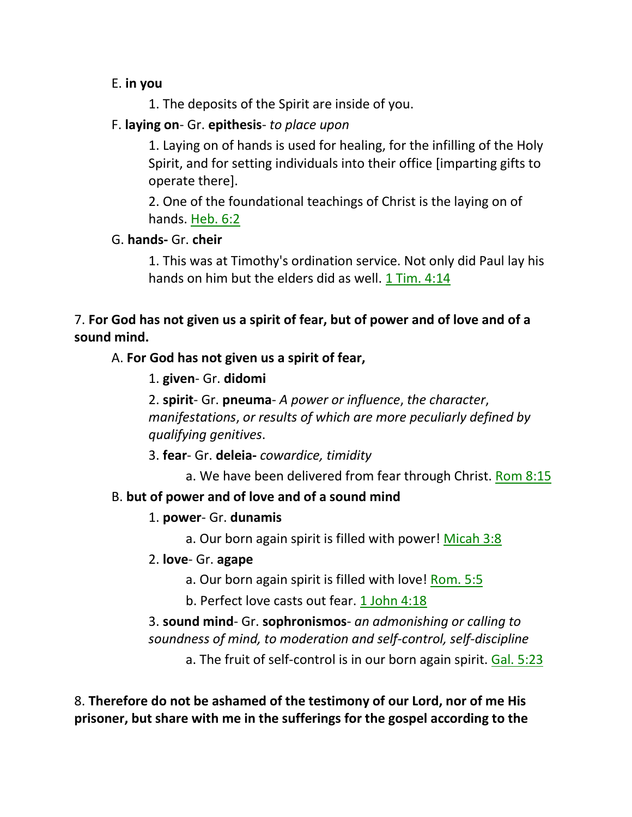### E. **in you**

1. The deposits of the Spirit are inside of you.

## F. **laying on**- Gr. **epithesis**- *to place upon*

1. Laying on of hands is used for healing, for the infilling of the Holy Spirit, and for setting individuals into their office [imparting gifts to operate there].

2. One of the foundational teachings of Christ is the laying on of hands. Heb. 6:2

## G. **hands-** Gr. **cheir**

1. This was at Timothy's ordination service. Not only did Paul lay his hands on him but the elders did as well.  $1$  Tim. 4:14

# 7. **For God has not given us a spirit of fear, but of power and of love and of a sound mind.**

## A. **For God has not given us a spirit of fear,**

1. **given**- Gr. **didomi**

2. **spirit**- Gr. **pneuma**- *A power or influence*, *the character*, *manifestations*, *or results of which are more peculiarly defined by qualifying genitives*.

3. **fear**- Gr. **deleia-** *cowardice, timidity*

a. We have been delivered from fear through Christ. Rom 8:15

## B. **but of power and of love and of a sound mind**

## 1. **power**- Gr. **dunamis**

a. Our born again spirit is filled with power! Micah 3:8

## 2. **love**- Gr. **agape**

- a. Our born again spirit is filled with love! Rom. 5:5
- b. Perfect love casts out fear. 1 John 4:18

3. **sound mind**- Gr. **sophronismos**- *an admonishing or calling to soundness of mind, to moderation and self-control, self-discipline*

a. The fruit of self-control is in our born again spirit. Gal. 5:23

8. **Therefore do not be ashamed of the testimony of our Lord, nor of me His prisoner, but share with me in the sufferings for the gospel according to the**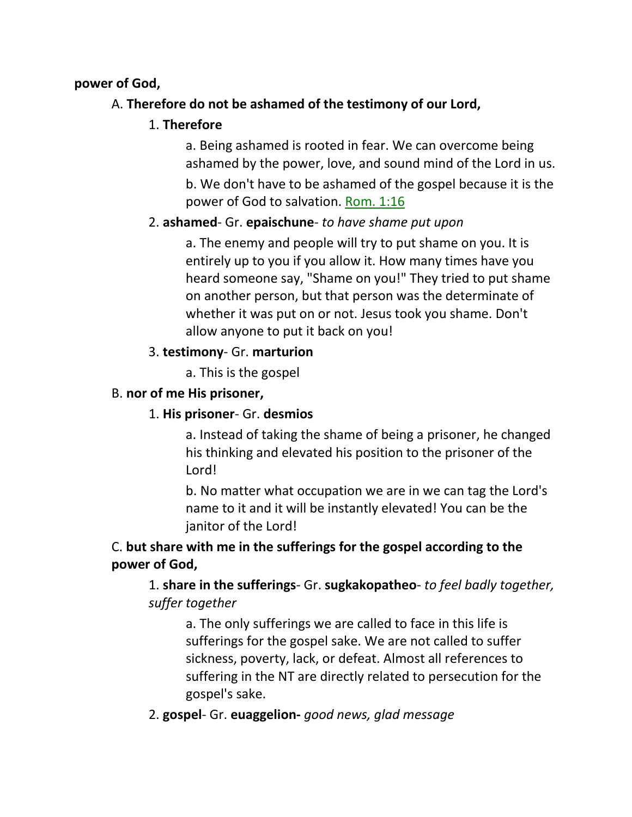### **power of God,**

## A. **Therefore do not be ashamed of the testimony of our Lord,**

### 1. **Therefore**

a. Being ashamed is rooted in fear. We can overcome being ashamed by the power, love, and sound mind of the Lord in us.

b. We don't have to be ashamed of the gospel because it is the power of God to salvation. Rom. 1:16

## 2. **ashamed**- Gr. **epaischune**- *to have shame put upon*

a. The enemy and people will try to put shame on you. It is entirely up to you if you allow it. How many times have you heard someone say, "Shame on you!" They tried to put shame on another person, but that person was the determinate of whether it was put on or not. Jesus took you shame. Don't allow anyone to put it back on you!

### 3. **testimony**- Gr. **marturion**

a. This is the gospel

## B. **nor of me His prisoner,**

### 1. **His prisoner**- Gr. **desmios**

a. Instead of taking the shame of being a prisoner, he changed his thinking and elevated his position to the prisoner of the Lord!

b. No matter what occupation we are in we can tag the Lord's name to it and it will be instantly elevated! You can be the janitor of the Lord!

## C. **but share with me in the sufferings for the gospel according to the power of God,**

1. **share in the sufferings**- Gr. **sugkakopatheo**- *to feel badly together, suffer together*

a. The only sufferings we are called to face in this life is sufferings for the gospel sake. We are not called to suffer sickness, poverty, lack, or defeat. Almost all references to suffering in the NT are directly related to persecution for the gospel's sake.

2. **gospel**- Gr. **euaggelion-** *good news, glad message*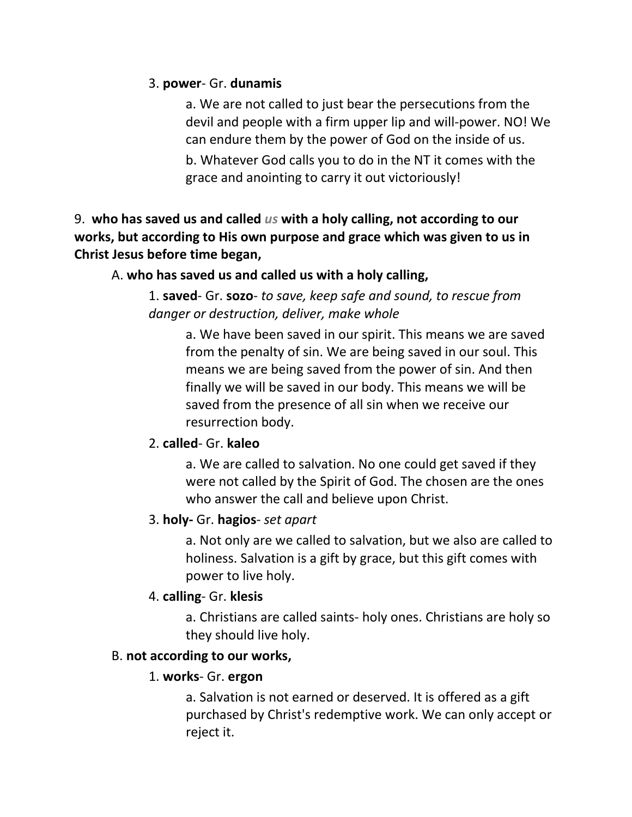#### 3. **power**- Gr. **dunamis**

a. We are not called to just bear the persecutions from the devil and people with a firm upper lip and will-power. NO! We can endure them by the power of God on the inside of us.

b. Whatever God calls you to do in the NT it comes with the grace and anointing to carry it out victoriously!

9. **who has saved us and called** *us* **with a holy calling, not according to our works, but according to His own purpose and grace which was given to us in Christ Jesus before time began,** 

#### A. **who has saved us and called us with a holy calling,**

1. **saved**- Gr. **sozo**- *to save, keep safe and sound, to rescue from danger or destruction, deliver, make whole*

a. We have been saved in our spirit. This means we are saved from the penalty of sin. We are being saved in our soul. This means we are being saved from the power of sin. And then finally we will be saved in our body. This means we will be saved from the presence of all sin when we receive our resurrection body.

### 2. **called**- Gr. **kaleo**

a. We are called to salvation. No one could get saved if they were not called by the Spirit of God. The chosen are the ones who answer the call and believe upon Christ.

### 3. **holy-** Gr. **hagios**- *set apart*

a. Not only are we called to salvation, but we also are called to holiness. Salvation is a gift by grace, but this gift comes with power to live holy.

### 4. **calling**- Gr. **klesis**

a. Christians are called saints- holy ones. Christians are holy so they should live holy.

### B. **not according to our works,**

### 1. **works**- Gr. **ergon**

a. Salvation is not earned or deserved. It is offered as a gift purchased by Christ's redemptive work. We can only accept or reject it.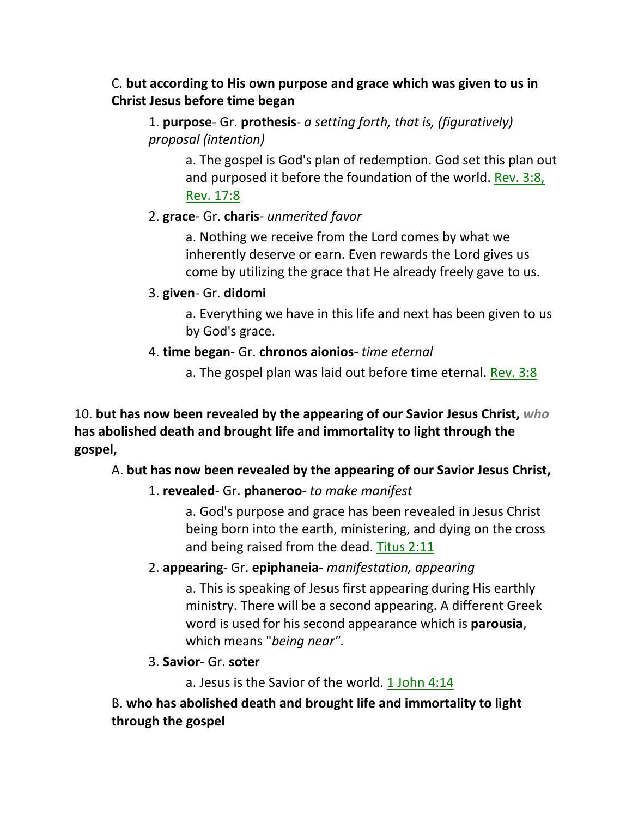## C. **but according to His own purpose and grace which was given to us in Christ Jesus before time began**

1. **purpose**- Gr. **prothesis**- *a setting forth, that is, (figuratively) proposal (intention)*

> a. The gospel is God's plan of redemption. God set this plan out and purposed it before the foundation of the world. Rev. 3:8, Rev. 17:8

### 2. **grace**- Gr. **charis**- *unmerited favor*

a. Nothing we receive from the Lord comes by what we inherently deserve or earn. Even rewards the Lord gives us come by utilizing the grace that He already freely gave to us.

### 3. **given**- Gr. **didomi**

a. Everything we have in this life and next has been given to us by God's grace.

### 4. **time began**- Gr. **chronos aionios-** *time eternal*

a. The gospel plan was laid out before time eternal. Rev. 3:8

10. **but has now been revealed by the appearing of our Savior Jesus Christ,** *who* **has abolished death and brought life and immortality to light through the gospel,** 

## A. **but has now been revealed by the appearing of our Savior Jesus Christ,**

## 1. **revealed**- Gr. **phaneroo-** *to make manifest*

a. God's purpose and grace has been revealed in Jesus Christ being born into the earth, ministering, and dying on the cross and being raised from the dead. Titus 2:11

## 2. **appearing**- Gr. **epiphaneia**- *manifestation, appearing*

a. This is speaking of Jesus first appearing during His earthly ministry. There will be a second appearing. A different Greek word is used for his second appearance which is **parousia**, which means "*being near"*.

## 3. **Savior**- Gr. **soter**

a. Jesus is the Savior of the world. 1 John 4:14

B. **who has abolished death and brought life and immortality to light through the gospel**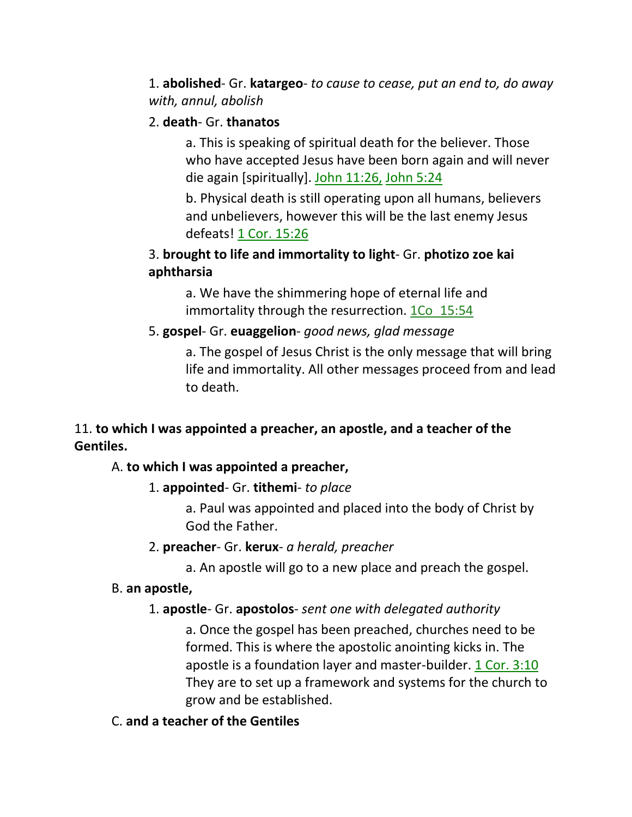1. **abolished**- Gr. **katargeo**- *to cause to cease, put an end to, do away with, annul, abolish*

#### 2. **death**- Gr. **thanatos**

a. This is speaking of spiritual death for the believer. Those who have accepted Jesus have been born again and will never die again [spiritually]. John 11:26, John 5:24

b. Physical death is still operating upon all humans, believers and unbelievers, however this will be the last enemy Jesus defeats! 1 Cor. 15:26

## 3. **brought to life and immortality to light**- Gr. **photizo zoe kai aphtharsia**

a. We have the shimmering hope of eternal life and immortality through the resurrection. 1Co 15:54

### 5. **gospel**- Gr. **euaggelion**- *good news, glad message*

a. The gospel of Jesus Christ is the only message that will bring life and immortality. All other messages proceed from and lead to death.

## 11. **to which I was appointed a preacher, an apostle, and a teacher of the Gentiles.**

### A. **to which I was appointed a preacher,**

### 1. **appointed**- Gr. **tithemi**- *to place*

a. Paul was appointed and placed into the body of Christ by God the Father.

#### 2. **preacher**- Gr. **kerux**- *a herald, preacher*

a. An apostle will go to a new place and preach the gospel.

### B. **an apostle,**

### 1. **apostle**- Gr. **apostolos**- *sent one with delegated authority*

a. Once the gospel has been preached, churches need to be formed. This is where the apostolic anointing kicks in. The apostle is a foundation layer and master-builder. 1 Cor. 3:10 They are to set up a framework and systems for the church to grow and be established.

### C. **and a teacher of the Gentiles**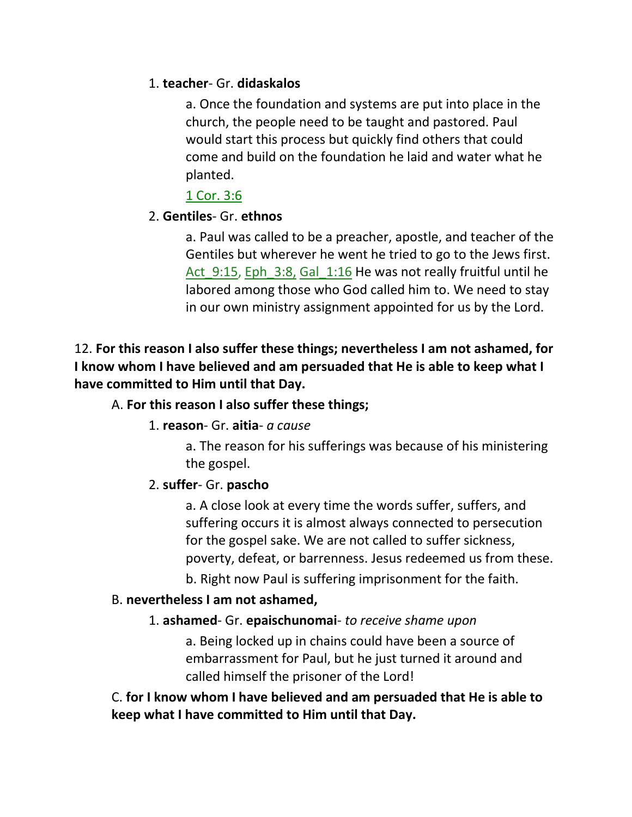### 1. **teacher**- Gr. **didaskalos**

a. Once the foundation and systems are put into place in the church, the people need to be taught and pastored. Paul would start this process but quickly find others that could come and build on the foundation he laid and water what he planted.

1 Cor. 3:6

## 2. **Gentiles**- Gr. **ethnos**

a. Paul was called to be a preacher, apostle, and teacher of the Gentiles but wherever he went he tried to go to the Jews first. Act 9:15, Eph 3:8, Gal 1:16 He was not really fruitful until he labored among those who God called him to. We need to stay in our own ministry assignment appointed for us by the Lord.

12. **For this reason I also suffer these things; nevertheless I am not ashamed, for I know whom I have believed and am persuaded that He is able to keep what I have committed to Him until that Day.** 

### A. **For this reason I also suffer these things;**

### 1. **reason**- Gr. **aitia**- *a cause*

a. The reason for his sufferings was because of his ministering the gospel.

# 2. **suffer**- Gr. **pascho**

a. A close look at every time the words suffer, suffers, and suffering occurs it is almost always connected to persecution for the gospel sake. We are not called to suffer sickness, poverty, defeat, or barrenness. Jesus redeemed us from these.

b. Right now Paul is suffering imprisonment for the faith.

## B. **nevertheless I am not ashamed,**

# 1. **ashamed**- Gr. **epaischunomai**- *to receive shame upon*

a. Being locked up in chains could have been a source of embarrassment for Paul, but he just turned it around and called himself the prisoner of the Lord!

C. **for I know whom I have believed and am persuaded that He is able to keep what I have committed to Him until that Day.**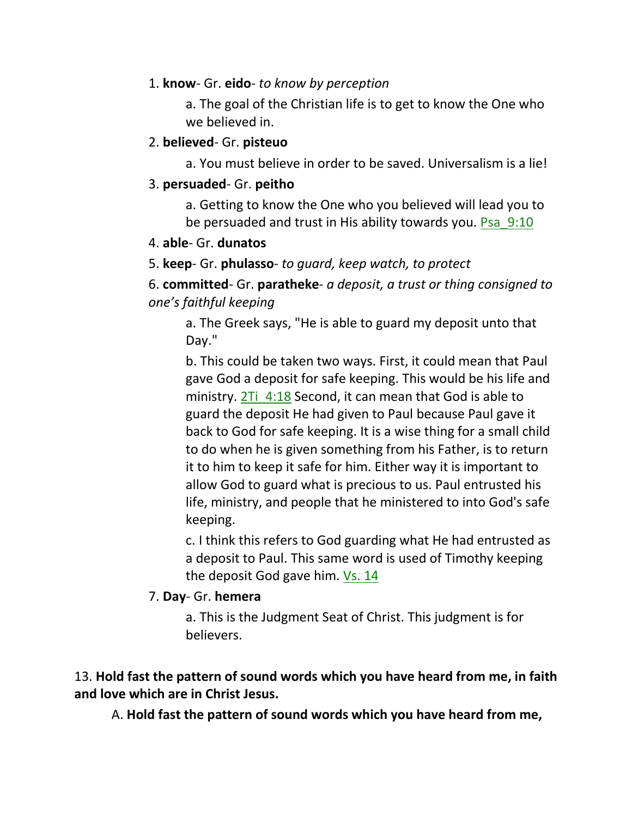### 1. **know**- Gr. **eido**- *to know by perception*

a. The goal of the Christian life is to get to know the One who we believed in.

#### 2. **believed**- Gr. **pisteuo**

a. You must believe in order to be saved. Universalism is a lie!

### 3. **persuaded**- Gr. **peitho**

a. Getting to know the One who you believed will lead you to be persuaded and trust in His ability towards you. Psa\_9:10

#### 4. **able**- Gr. **dunatos**

5. **keep**- Gr. **phulasso**- *to guard, keep watch, to protect*

6. **committed**- Gr. **paratheke**- *a deposit, a trust or thing consigned to one's faithful keeping*

a. The Greek says, "He is able to guard my deposit unto that Day."

b. This could be taken two ways. First, it could mean that Paul gave God a deposit for safe keeping. This would be his life and ministry.  $2Ti$  4:18 Second, it can mean that God is able to guard the deposit He had given to Paul because Paul gave it back to God for safe keeping. It is a wise thing for a small child to do when he is given something from his Father, is to return it to him to keep it safe for him. Either way it is important to allow God to guard what is precious to us. Paul entrusted his life, ministry, and people that he ministered to into God's safe keeping.

c. I think this refers to God guarding what He had entrusted as a deposit to Paul. This same word is used of Timothy keeping the deposit God gave him. Vs. 14

### 7. **Day**- Gr. **hemera**

a. This is the Judgment Seat of Christ. This judgment is for believers.

## 13. **Hold fast the pattern of sound words which you have heard from me, in faith and love which are in Christ Jesus.**

A. **Hold fast the pattern of sound words which you have heard from me,**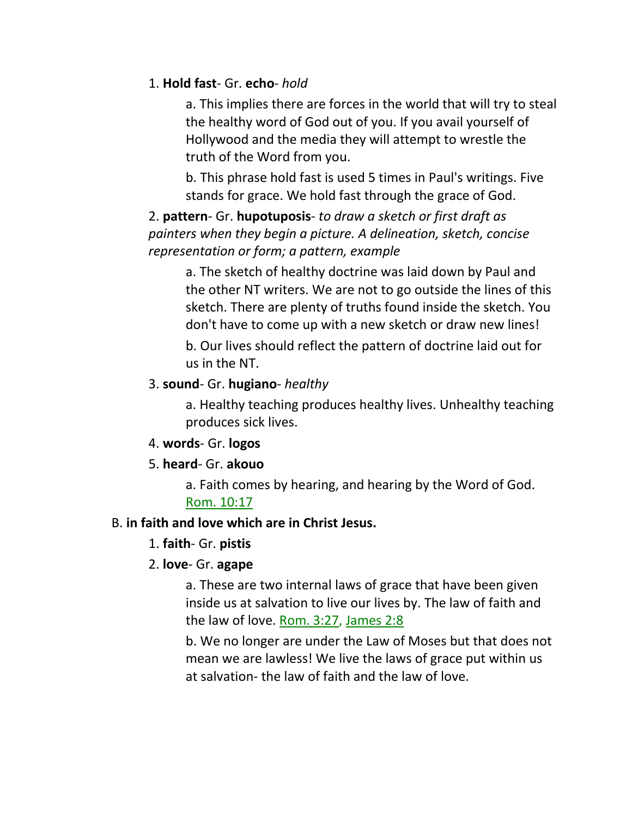### 1. **Hold fast**- Gr. **echo**- *hold*

a. This implies there are forces in the world that will try to steal the healthy word of God out of you. If you avail yourself of Hollywood and the media they will attempt to wrestle the truth of the Word from you.

b. This phrase hold fast is used 5 times in Paul's writings. Five stands for grace. We hold fast through the grace of God.

2. **pattern**- Gr. **hupotuposis**- *to draw a sketch or first draft as painters when they begin a picture. A delineation, sketch, concise representation or form; a pattern, example* 

a. The sketch of healthy doctrine was laid down by Paul and the other NT writers. We are not to go outside the lines of this sketch. There are plenty of truths found inside the sketch. You don't have to come up with a new sketch or draw new lines!

b. Our lives should reflect the pattern of doctrine laid out for us in the NT.

### 3. **sound**- Gr. **hugiano**- *healthy*

a. Healthy teaching produces healthy lives. Unhealthy teaching produces sick lives.

4. **words**- Gr. **logos**

### 5. **heard**- Gr. **akouo**

a. Faith comes by hearing, and hearing by the Word of God. Rom. 10:17

### B. **in faith and love which are in Christ Jesus.**

### 1. **faith**- Gr. **pistis**

## 2. **love**- Gr. **agape**

a. These are two internal laws of grace that have been given inside us at salvation to live our lives by. The law of faith and the law of love. Rom. 3:27, James 2:8

b. We no longer are under the Law of Moses but that does not mean we are lawless! We live the laws of grace put within us at salvation- the law of faith and the law of love.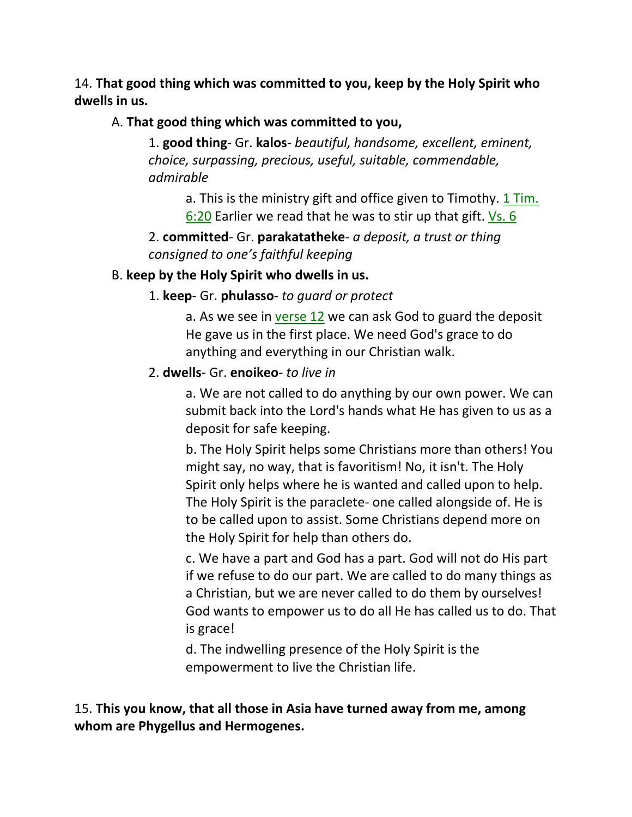14. **That good thing which was committed to you, keep by the Holy Spirit who dwells in us.** 

## A. **That good thing which was committed to you,**

1. **good thing**- Gr. **kalos**- *beautiful, handsome, excellent, eminent, choice, surpassing, precious, useful, suitable, commendable, admirable*

a. This is the ministry gift and office given to Timothy. 1 Tim. 6:20 Earlier we read that he was to stir up that gift. Vs. 6

2. **committed**- Gr. **parakatatheke**- *a deposit, a trust or thing consigned to one's faithful keeping*

### B. **keep by the Holy Spirit who dwells in us.**

1. **keep**- Gr. **phulasso**- *to guard or protect*

a. As we see in verse 12 we can ask God to guard the deposit He gave us in the first place. We need God's grace to do anything and everything in our Christian walk.

### 2. **dwells**- Gr. **enoikeo**- *to live in*

a. We are not called to do anything by our own power. We can submit back into the Lord's hands what He has given to us as a deposit for safe keeping.

b. The Holy Spirit helps some Christians more than others! You might say, no way, that is favoritism! No, it isn't. The Holy Spirit only helps where he is wanted and called upon to help. The Holy Spirit is the paraclete- one called alongside of. He is to be called upon to assist. Some Christians depend more on the Holy Spirit for help than others do.

c. We have a part and God has a part. God will not do His part if we refuse to do our part. We are called to do many things as a Christian, but we are never called to do them by ourselves! God wants to empower us to do all He has called us to do. That is grace!

d. The indwelling presence of the Holy Spirit is the empowerment to live the Christian life.

15. **This you know, that all those in Asia have turned away from me, among whom are Phygellus and Hermogenes.**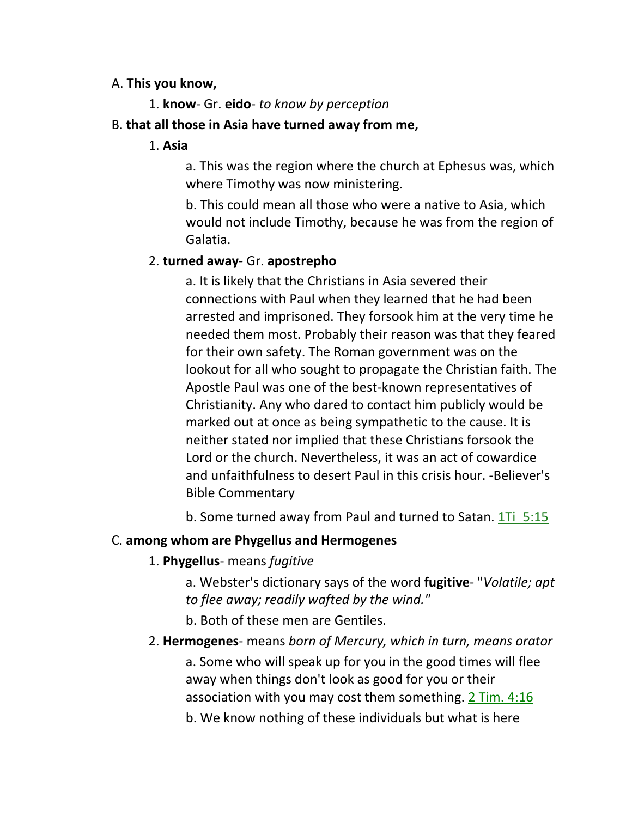#### A. **This you know,**

1. **know**- Gr. **eido**- *to know by perception*

### B. **that all those in Asia have turned away from me,**

### 1. **Asia**

a. This was the region where the church at Ephesus was, which where Timothy was now ministering.

b. This could mean all those who were a native to Asia, which would not include Timothy, because he was from the region of Galatia.

## 2. **turned away**- Gr. **apostrepho**

a. It is likely that the Christians in Asia severed their connections with Paul when they learned that he had been arrested and imprisoned. They forsook him at the very time he needed them most. Probably their reason was that they feared for their own safety. The Roman government was on the lookout for all who sought to propagate the Christian faith. The Apostle Paul was one of the best-known representatives of Christianity. Any who dared to contact him publicly would be marked out at once as being sympathetic to the cause. It is neither stated nor implied that these Christians forsook the Lord or the church. Nevertheless, it was an act of cowardice and unfaithfulness to desert Paul in this crisis hour. -Believer's Bible Commentary

b. Some turned away from Paul and turned to Satan. 1Ti 5:15

## C. **among whom are Phygellus and Hermogenes**

## 1. **Phygellus**- means *fugitive*

a. Webster's dictionary says of the word **fugitive**- "*Volatile; apt to flee away; readily wafted by the wind."*

b. Both of these men are Gentiles.

### 2. **Hermogenes**- means *born of Mercury, which in turn, means orator* a. Some who will speak up for you in the good times will flee

away when things don't look as good for you or their association with you may cost them something. 2 Tim. 4:16

b. We know nothing of these individuals but what is here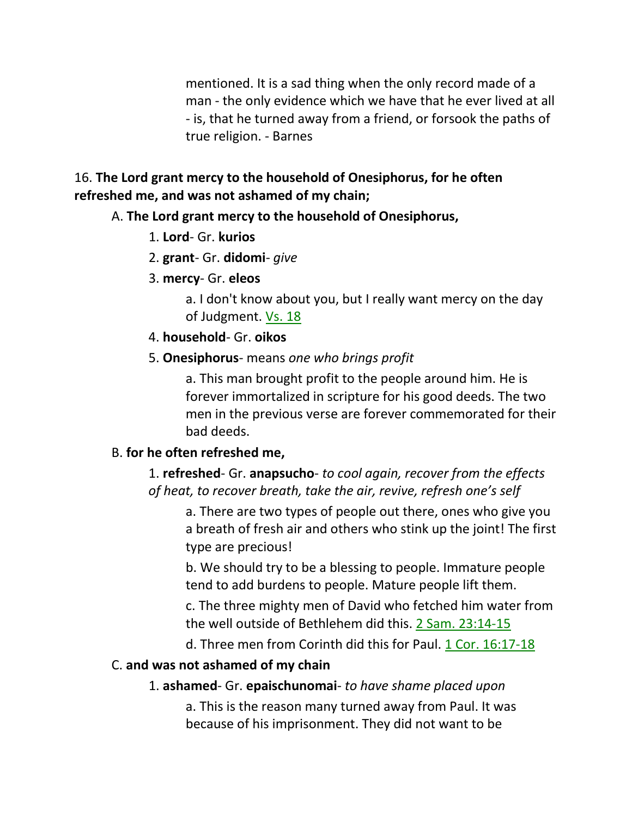mentioned. It is a sad thing when the only record made of a man - the only evidence which we have that he ever lived at all - is, that he turned away from a friend, or forsook the paths of true religion. - Barnes

### 16. **The Lord grant mercy to the household of Onesiphorus, for he often refreshed me, and was not ashamed of my chain;**

### A. **The Lord grant mercy to the household of Onesiphorus,**

- 1. **Lord** Gr. **kurios**
- 2. **grant** Gr. **didomi** *give*
- 3. **mercy** Gr. **eleos**

a. I don't know about you, but I really want mercy on the day of Judgment. Vs. 18

4. **household**- Gr. **oikos**

### 5. **Onesiphorus**- means *one who brings profit*

a. This man brought profit to the people around him. He is forever immortalized in scripture for his good deeds. The two men in the previous verse are forever commemorated for their bad deeds.

## B. **for he often refreshed me,**

1. **refreshed**- Gr. **anapsucho**- *to cool again, recover from the effects of heat, to recover breath, take the air, revive, refresh one's self*

a. There are two types of people out there, ones who give you a breath of fresh air and others who stink up the joint! The first type are precious!

b. We should try to be a blessing to people. Immature people tend to add burdens to people. Mature people lift them.

c. The three mighty men of David who fetched him water from the well outside of Bethlehem did this. 2 Sam. 23:14-15

d. Three men from Corinth did this for Paul. 1 Cor. 16:17-18

## C. **and was not ashamed of my chain**

## 1. **ashamed**- Gr. **epaischunomai**- *to have shame placed upon*

a. This is the reason many turned away from Paul. It was because of his imprisonment. They did not want to be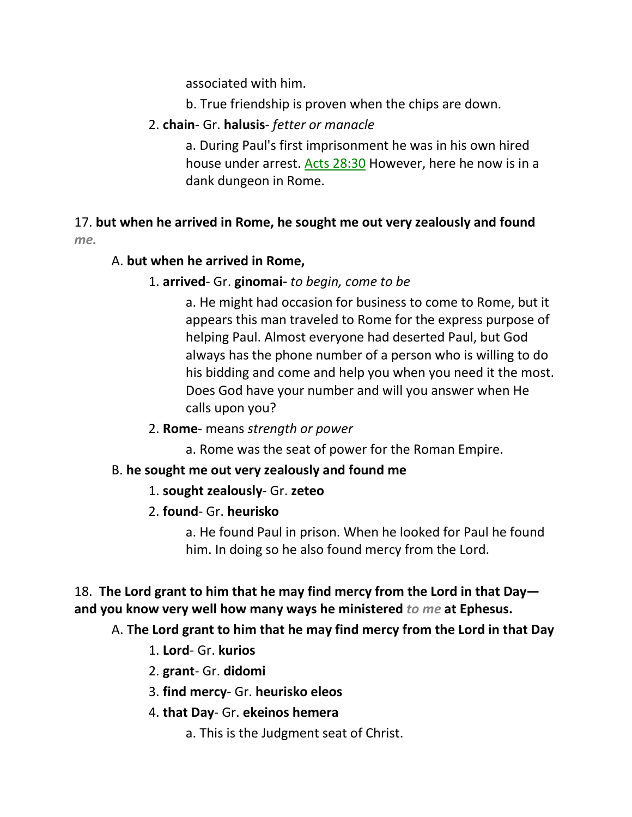associated with him.

- b. True friendship is proven when the chips are down.
- 2. **chain** Gr. **halusis** *fetter or manacle*

a. During Paul's first imprisonment he was in his own hired house under arrest. Acts 28:30 However, here he now is in a dank dungeon in Rome.

# 17. **but when he arrived in Rome, he sought me out very zealously and found**  *me.*

## A. **but when he arrived in Rome,**

## 1. **arrived**- Gr. **ginomai-** *to begin, come to be*

a. He might had occasion for business to come to Rome, but it appears this man traveled to Rome for the express purpose of helping Paul. Almost everyone had deserted Paul, but God always has the phone number of a person who is willing to do his bidding and come and help you when you need it the most. Does God have your number and will you answer when He calls upon you?

- 2. **Rome** means *strength or power*
	- a. Rome was the seat of power for the Roman Empire.

# B. **he sought me out very zealously and found me**

# 1. **sought zealously**- Gr. **zeteo**

# 2. **found**- Gr. **heurisko**

a. He found Paul in prison. When he looked for Paul he found him. In doing so he also found mercy from the Lord.

# 18. **The Lord grant to him that he may find mercy from the Lord in that Day and you know very well how many ways he ministered** *to me* **at Ephesus.**

# A. **The Lord grant to him that he may find mercy from the Lord in that Day**

- 1. **Lord** Gr. **kurios**
- 2. **grant** Gr. **didomi**
- 3. **find mercy** Gr. **heurisko eleos**
- 4. **that Day** Gr. **ekeinos hemera**
	- a. This is the Judgment seat of Christ.